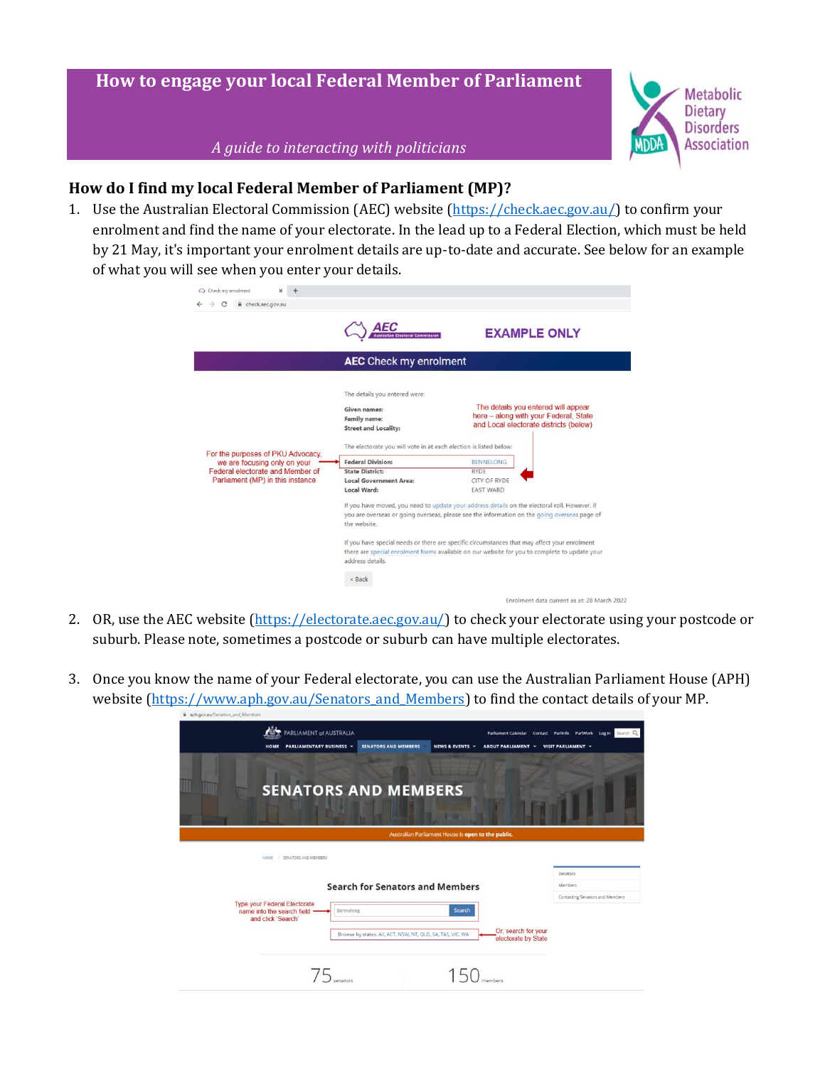# **How to engage your local Federal Member of Parliament**



*A guide to interacting with politicians*

#### **How do I find my local Federal Member of Parliament (MP)?**

1. Use the Australian Electoral Commission (AEC) website [\(https://check.aec.gov.au/\)](https://check.aec.gov.au/) to confirm your enrolment and find the name of your electorate. In the lead up to a Federal Election, which must be held by 21 May, it's important your enrolment details are up-to-date and accurate. See below for an example of what you will see when you enter your details.

| e check.aec.gov.au<br>c                                                                                                                   |                                                                                                                                                                                                                                                                                                                                                                                                                                                |                                                                                                                        |
|-------------------------------------------------------------------------------------------------------------------------------------------|------------------------------------------------------------------------------------------------------------------------------------------------------------------------------------------------------------------------------------------------------------------------------------------------------------------------------------------------------------------------------------------------------------------------------------------------|------------------------------------------------------------------------------------------------------------------------|
|                                                                                                                                           | AEC<br><b>Australian Electoral Commission</b>                                                                                                                                                                                                                                                                                                                                                                                                  | <b>EXAMPLE ONLY</b>                                                                                                    |
|                                                                                                                                           | <b>AEC</b> Check my enrolment                                                                                                                                                                                                                                                                                                                                                                                                                  |                                                                                                                        |
| For the purposes of PKU Advocacy.<br>we are focusing only on your<br>Federal electorate and Member of<br>Parliament (MP) in this instance | The details you entered were:<br>Given names:<br><b>Family name:</b><br><b>Street and Locality:</b><br>The electorate you will vote in at each election is listed below:                                                                                                                                                                                                                                                                       | The details you entered will appear<br>here - along with your Federal, State<br>and Local electorate districts (below) |
|                                                                                                                                           | <b>Federal Division:</b>                                                                                                                                                                                                                                                                                                                                                                                                                       | <b>BENNELONG</b>                                                                                                       |
|                                                                                                                                           | <b>State District:</b>                                                                                                                                                                                                                                                                                                                                                                                                                         | <b>RYDE</b>                                                                                                            |
|                                                                                                                                           | <b>Local Government Area:</b>                                                                                                                                                                                                                                                                                                                                                                                                                  | CITY OF RYDE                                                                                                           |
|                                                                                                                                           | Local Ward:                                                                                                                                                                                                                                                                                                                                                                                                                                    | <b>EAST WARD</b>                                                                                                       |
|                                                                                                                                           | If you have moved, you need to update your address details on the electoral roll. However, if<br>you are overseas or going overseas, please see the information on the going overseas page of<br>the website.<br>If you have special needs or there are specific circumstances that may affect your enrolment<br>there are special enrolment forms available on our website for you to complete to update your<br>address details.<br>$<$ Back |                                                                                                                        |
|                                                                                                                                           |                                                                                                                                                                                                                                                                                                                                                                                                                                                | Enrolment data current as at: 28 March 2022                                                                            |

- 2. OR, use the AEC website [\(https://electorate.aec.gov.au/\)](https://electorate.aec.gov.au/) to check your electorate using your postcode or suburb. Please note, sometimes a postcode or suburb can have multiple electorates.
- 3. Once you know the name of your Federal electorate, you can use the Australian Parliament House (APH) website [\(https://www.aph.gov.au/Senators\\_and\\_Members\)](https://www.aph.gov.au/Senators_and_Members) to find the contact details of your MP.

| PARLIAMENT of AUSTRALIA<br><b>PARLIAMENTARY BUSINESS *</b> | <b>SENATORS AND MEMBERS</b><br><b>NEWS &amp; EVENTS -</b><br><b>ABOUT PARLIAMENT</b><br>۰                | Parliament Calendar Contact Parlinfo ParlWork Login Search Q<br>VISIT PARLIAMENT - |
|------------------------------------------------------------|----------------------------------------------------------------------------------------------------------|------------------------------------------------------------------------------------|
| IIII                                                       | <b>SENATORS AND MEMBERS</b>                                                                              |                                                                                    |
|                                                            | Australian Parliament House is open to the public.                                                       |                                                                                    |
| HOME / SENATORS AND MEMBERS                                |                                                                                                          |                                                                                    |
|                                                            | <b>Search for Senators and Members</b>                                                                   | Senators<br>Members                                                                |
| <b>Type your Federal Electorate</b>                        |                                                                                                          | Contacting Senators and Members                                                    |
| name into the search field<br>and click 'Search'           | Search<br>Bennelong                                                                                      |                                                                                    |
|                                                            |                                                                                                          |                                                                                    |
|                                                            | Or, search for your<br>Browse by states: All, ACT, NSW, NT, QLD, SA, TAS, VIC, WA<br>electorate by State |                                                                                    |
|                                                            |                                                                                                          |                                                                                    |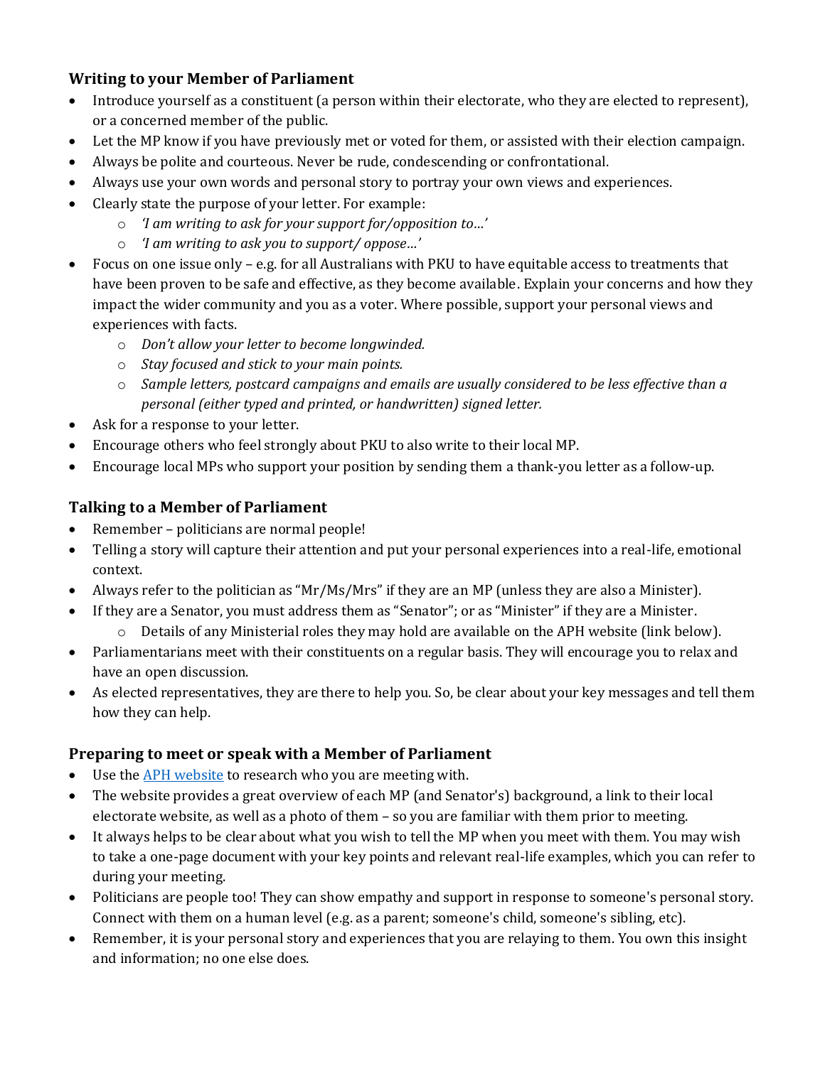#### **Writing to your Member of Parliament**

- Introduce yourself as a constituent (a person within their electorate, who they are elected to represent), or a concerned member of the public.
- Let the MP know if you have previously met or voted for them, or assisted with their election campaign.
- Always be polite and courteous. Never be rude, condescending or confrontational.
- Always use your own words and personal story to portray your own views and experiences.
- Clearly state the purpose of your letter. For example:
	- o *'I am writing to ask for your support for/opposition to…'*
	- o *'I am writing to ask you to support/ oppose…'*
- Focus on one issue only e.g. for all Australians with PKU to have equitable access to treatments that have been proven to be safe and effective, as they become available. Explain your concerns and how they impact the wider community and you as a voter. Where possible, support your personal views and experiences with facts.
	- o *Don't allow your letter to become longwinded.*
	- o *Stay focused and stick to your main points.*
	- o *Sample letters, postcard campaigns and emails are usually considered to be less effective than a personal (either typed and printed, or handwritten) signed letter.*
- Ask for a response to your letter.
- Encourage others who feel strongly about PKU to also write to their local MP.
- Encourage local MPs who support your position by sending them a thank-you letter as a follow-up.

### **Talking to a Member of Parliament**

- Remember politicians are normal people!
- Telling a story will capture their attention and put your personal experiences into a real-life, emotional context.
- Always refer to the politician as "Mr/Ms/Mrs" if they are an MP (unless they are also a Minister).
- If they are a Senator, you must address them as "Senator"; or as "Minister" if they are a Minister.
	- o Details of any Ministerial roles they may hold are available on the APH website (link below).
- Parliamentarians meet with their constituents on a regular basis. They will encourage you to relax and have an open discussion.
- As elected representatives, they are there to help you. So, be clear about your key messages and tell them how they can help.

### **Preparing to meet or speak with a Member of Parliament**

- Use the APH [website](https://www.aph.gov.au/Senators_and_Members) to research who you are meeting with.
- The website provides a great overview of each MP (and Senator's) background, a link to their local electorate website, as well as a photo of them – so you are familiar with them prior to meeting.
- It always helps to be clear about what you wish to tell the MP when you meet with them. You may wish to take a one-page document with your key points and relevant real-life examples, which you can refer to during your meeting.
- Politicians are people too! They can show empathy and support in response to someone's personal story. Connect with them on a human level (e.g. as a parent; someone's child, someone's sibling, etc).
- Remember, it is your personal story and experiences that you are relaying to them. You own this insight and information; no one else does.